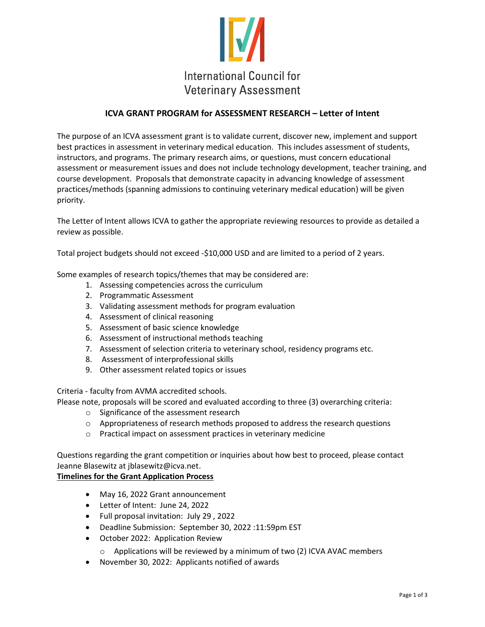

### **ICVA GRANT PROGRAM for ASSESSMENT RESEARCH – Letter of Intent**

The purpose of an ICVA assessment grant is to validate current, discover new, implement and support best practices in assessment in veterinary medical education. This includes assessment of students, instructors, and programs. The primary research aims, or questions, must concern educational assessment or measurement issues and does not include technology development, teacher training, and course development. Proposals that demonstrate capacity in advancing knowledge of assessment practices/methods (spanning admissions to continuing veterinary medical education) will be given priority.

The Letter of Intent allows ICVA to gather the appropriate reviewing resources to provide as detailed a review as possible.

Total project budgets should not exceed -\$10,000 USD and are limited to a period of 2 years.

Some examples of research topics/themes that may be considered are:

- 1. Assessing competencies across the curriculum
- 2. Programmatic Assessment
- 3. Validating assessment methods for program evaluation
- 4. Assessment of clinical reasoning
- 5. Assessment of basic science knowledge
- 6. Assessment of instructional methods teaching
- 7. Assessment of selection criteria to veterinary school, residency programs etc.
- 8. Assessment of interprofessional skills
- 9. Other assessment related topics or issues

Criteria - faculty from AVMA accredited schools.

Please note, proposals will be scored and evaluated according to three (3) overarching criteria:

- o Significance of the assessment research
- $\circ$  Appropriateness of research methods proposed to address the research questions
- o Practical impact on assessment practices in veterinary medicine

Questions regarding the grant competition or inquiries about how best to proceed, please contact Jeanne Blasewitz at jblasewitz@icva.net.

#### **Timelines for the Grant Application Process**

- May 16, 2022 Grant announcement
- Letter of Intent: June 24, 2022
- Full proposal invitation: July 29 , 2022
- Deadline Submission: September 30, 2022 :11:59pm EST
- October 2022: Application Review
	- $\circ$  Applications will be reviewed by a minimum of two (2) ICVA AVAC members
- November 30, 2022: Applicants notified of awards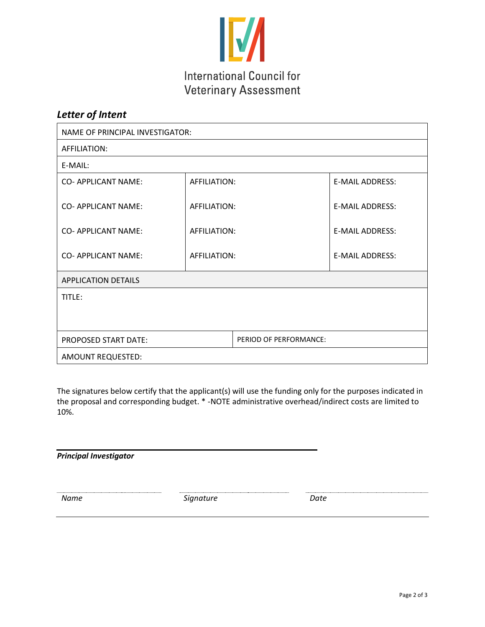

## *Letter of Intent*

| NAME OF PRINCIPAL INVESTIGATOR: |              |                        |                        |
|---------------------------------|--------------|------------------------|------------------------|
| AFFILIATION:                    |              |                        |                        |
| E-MAIL:                         |              |                        |                        |
| <b>CO- APPLICANT NAME:</b>      | AFFILIATION: |                        | <b>E-MAIL ADDRESS:</b> |
| CO- APPLICANT NAME:             | AFFILIATION: |                        | <b>E-MAIL ADDRESS:</b> |
| <b>CO- APPLICANT NAME:</b>      | AFFILIATION: |                        | <b>E-MAIL ADDRESS:</b> |
| <b>CO- APPLICANT NAME:</b>      | AFFILIATION: |                        | <b>E-MAIL ADDRESS:</b> |
| <b>APPLICATION DETAILS</b>      |              |                        |                        |
| TITLE:                          |              |                        |                        |
|                                 |              |                        |                        |
| <b>PROPOSED START DATE:</b>     |              | PERIOD OF PERFORMANCE: |                        |
| AMOUNT REQUESTED:               |              |                        |                        |

The signatures below certify that the applicant(s) will use the funding only for the purposes indicated in the proposal and corresponding budget. \* -NOTE administrative overhead/indirect costs are limited to 10%.

*Principal Investigator*

*Name Signature Date*